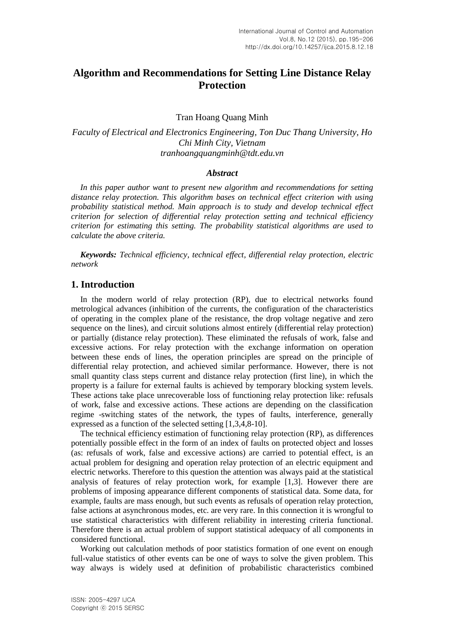# **Algorithm and Recommendations for Setting Line Distance Relay Protection**

Tran Hoang Quang Minh

*Faculty of Electrical and Electronics Engineering, Ton Duc Thang University, Ho Chi Minh City, Vietnam [tranhoangquangminh@tdt.edu.vn](mailto:tranhoangquangminh@tdt.edu.vn)*

### *Abstract*

*In this paper author want to present new algorithm and recommendations for setting distance relay protection. This algorithm bases on technical effect criterion with using probability statistical method. Main approach is to study and develop technical effect criterion for selection of differential relay protection setting and technical efficiency criterion for estimating this setting. The probability statistical algorithms are used to calculate the above criteria.*

*Keywords: Technical efficiency, technical effect, differential relay protection, electric network*

## **1. Introduction**

In the modern world of relay protection (RP), due to electrical networks found metrological advances (inhibition of the currents, the configuration of the characteristics of operating in the complex plane of the resistance, the drop voltage negative and zero sequence on the lines), and circuit solutions almost entirely (differential relay protection) or partially (distance relay protection). These eliminated the refusals of work, false and excessive actions. For relay protection with the exchange information on operation between these ends of lines, the operation principles are spread on the principle of differential relay protection, and achieved similar performance. However, there is not small quantity class steps current and distance relay protection (first line), in which the property is a failure for external faults is achieved by temporary blocking system levels. These actions take place unrecoverable loss of functioning relay protection like: refusals of work, false and excessive actions. These actions are depending on the classification regime -switching states of the network, the types of faults, interference, generally expressed as a function of the selected setting [1,3,4,8-10].

The technical efficiency estimation of functioning relay protection (RP), as differences potentially possible effect in the form of an index of faults on protected object and losses (as: refusals of work, false and excessive actions) are carried to potential effect, is an actual problem for designing and operation relay protection of an electric equipment and electric networks. Therefore to this question the attention was always paid at the statistical analysis of features of relay protection work, for example [1,3]. However there are problems of imposing appearance different components of statistical data. Some data, for example, faults are mass enough, but such events as refusals of operation relay protection, false actions at asynchronous modes, etc. are very rare. In this connection it is wrongful to use statistical characteristics with different reliability in interesting criteria functional. Therefore there is an actual problem of support statistical adequacy of all components in considered functional.

Working out calculation methods of poor statistics formation of one event on enough full-value statistics of other events can be one of ways to solve the given problem. This way always is widely used at definition of probabilistic characteristics combined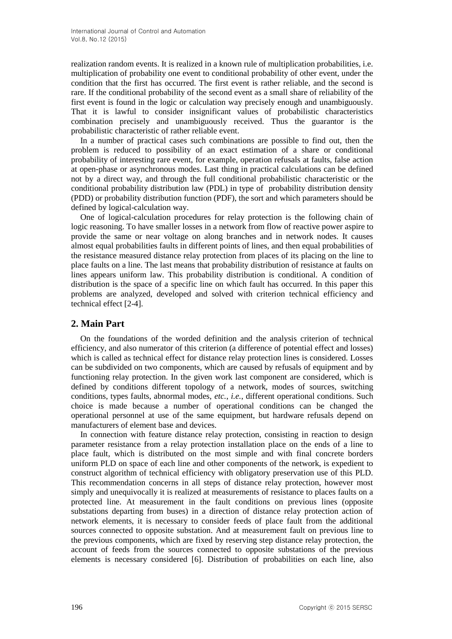realization random events. It is realized in a known rule of multiplication probabilities, i.e. multiplication of probability one event to conditional probability of other event, under the condition that the first has occurred. The first event is rather reliable, and the second is rare. If the conditional probability of the second event as a small share of reliability of the first event is found in the logic or calculation way precisely enough and unambiguously. That it is lawful to consider insignificant values of probabilistic characteristics combination precisely and unambiguously received. Thus the guarantor is the probabilistic characteristic of rather reliable event.

In a number of practical cases such combinations are possible to find out, then the problem is reduced to possibility of an exact estimation of a share or conditional probability of interesting rare event, for example, operation refusals at faults, false action at open-phase or asynchronous modes. Last thing in practical calculations can be defined not by a direct way, and through the full conditional probabilistic characteristic or the conditional probability distribution law (PDL) in type of probability distribution density (PDD) or probability distribution function (PDF), the sort and which parameters should be defined by logical-calculation way.

One of logical-calculation procedures for relay protection is the following chain of logic reasoning. To have smaller losses in a network from flow of reactive power aspire to provide the same or near voltage on along branches and in network nodes. It causes almost equal probabilities faults in different points of lines, and then equal probabilities of the resistance measured distance relay protection from places of its placing on the line to place faults on a line. The last means that probability distribution of resistance at faults on lines appears uniform law. This probability distribution is conditional. A condition of distribution is the space of a specific line on which fault has occurred. In this paper this problems are analyzed, developed and solved with criterion technical efficiency and technical effect [2-4].

## **2. Main Part**

On the foundations of the worded definition and the analysis criterion of technical efficiency, and also numerator of this criterion (a difference of potential effect and losses) which is called as technical effect for distance relay protection lines is considered. Losses can be subdivided on two components, which are caused by refusals of equipment and by functioning relay protection. In the given work last component are considered, which is defined by conditions different topology of a network, modes of sources, switching conditions, types faults, abnormal modes, *etc.*, *i.e.*, different operational conditions. Such choice is made because a number of operational conditions can be changed the operational personnel at use of the same equipment, but hardware refusals depend on manufacturers of element base and devices.

In connection with feature distance relay protection, consisting in reaction to design parameter resistance from a relay protection installation place on the ends of a line to place fault, which is distributed on the most simple and with final concrete borders uniform PLD on space of each line and other components of the network, is expedient to construct algorithm of technical efficiency with obligatory preservation use of this PLD. This recommendation concerns in all steps of distance relay protection, however most simply and unequivocally it is realized at measurements of resistance to places faults on a protected line. At measurement in the fault conditions on previous lines (opposite substations departing from buses) in a direction of distance relay protection action of network elements, it is necessary to consider feeds of place fault from the additional sources connected to opposite substation. And at measurement fault on previous line to the previous components, which are fixed by reserving step distance relay protection, the account of feeds from the sources connected to opposite substations of the previous elements is necessary considered [6]. Distribution of probabilities on each line, also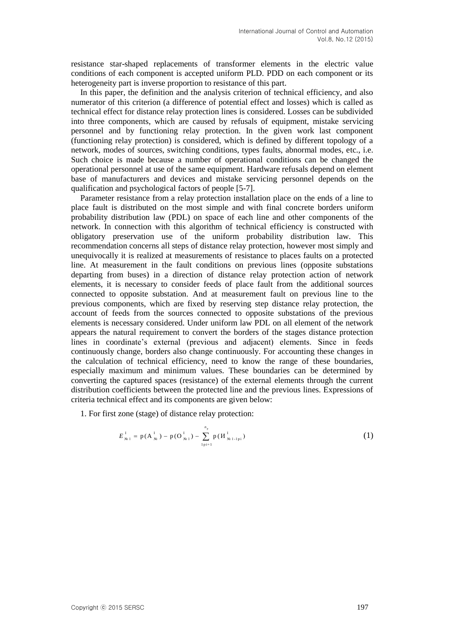resistance star-shaped replacements of transformer elements in the electric value conditions of each component is accepted uniform PLD. PDD on each component or its heterogeneity part is inverse proportion to resistance of this part.

In this paper, the definition and the analysis criterion of technical efficiency, and also numerator of this criterion (a difference of potential effect and losses) which is called as technical effect for distance relay protection lines is considered. Losses can be subdivided into three components, which are caused by refusals of equipment, mistake servicing personnel and by functioning relay protection. In the given work last component (functioning relay protection) is considered, which is defined by different topology of a network, modes of sources, switching conditions, types faults, abnormal modes, etc., i.e. Such choice is made because a number of operational conditions can be changed the operational personnel at use of the same equipment. Hardware refusals depend on element base of manufacturers and devices and mistake servicing personnel depends on the qualification and psychological factors of people [5-7].

Parameter resistance from a relay protection installation place on the ends of a line to place fault is distributed on the most simple and with final concrete borders uniform probability distribution law (PDL) on space of each line and other components of the network. In connection with this algorithm of technical efficiency is constructed with obligatory preservation use of the uniform probability distribution law. This recommendation concerns all steps of distance relay protection, however most simply and unequivocally it is realized at measurements of resistance to places faults on a protected line. At measurement in the fault conditions on previous lines (opposite substations departing from buses) in a direction of distance relay protection action of network elements, it is necessary to consider feeds of place fault from the additional sources connected to opposite substation. And at measurement fault on previous line to the previous components, which are fixed by reserving step distance relay protection, the account of feeds from the sources connected to opposite substations of the previous elements is necessary considered. Under uniform law PDL on all element of the network appears the natural requirement to convert the borders of the stages distance protection lines in coordinate's external (previous and adjacent) elements. Since in feeds continuously change, borders also change continuously. For accounting these changes in the calculation of technical efficiency, need to know the range of these boundaries, especially maximum and minimum values. These boundaries can be determined by converting the captured spaces (resistance) of the external elements through the current distribution coefficients between the protected line and the previous lines. Expressions of criteria technical effect and its components are given below:

1. For first zone (stage) of distance relay protection:

$$
E_{y_{\theta 1}}^{I} = p(A_{y_{\theta}}^{I}) - p(O_{y_{\theta 1}}^{I}) - \sum_{i}^{n_{p}} p(H_{y_{\theta 1} - i p_{i}}^{I})
$$
\n(1)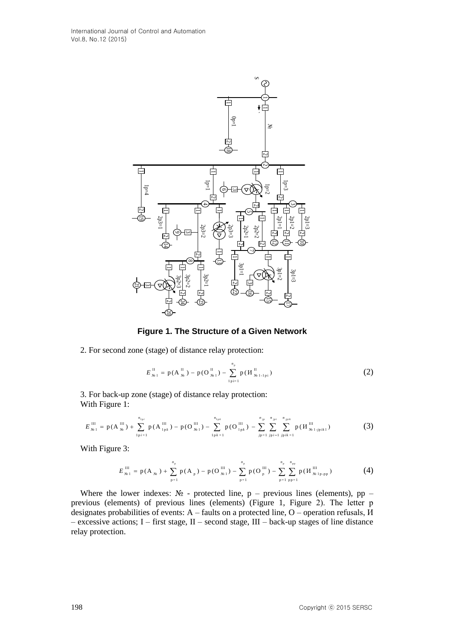International Journal of Control and Automation Vol.8, No.12 (2015)



**Figure 1. The Structure of a Given Network**

2. For second zone (stage) of distance relay protection:

$$
E_{\gamma_{e1}}^{II} = p(A_{\gamma_e}^{II}) - p(O_{\gamma_{e1}}^{II}) - \sum_{i}^{n_p} p(H_{\gamma_{e1-i}p_i}^{II})
$$
 (2)

3. For back-up zone (stage) of distance relay protection: With Figure 1:

$$
E_{N=1}^{II} = p(A_{N}^{II}) + \sum_{i}^{n_{ipi}} p(A_{ipk}^{II}) - p(O_{N=1}^{II}) - \sum_{i}^{n_{ipk}} p(O_{ipk}^{II}) - \sum_{j p=1}^{n_{jp}} \sum_{j p=i}^{n_{jpi}} \sum_{j p=i}^{n_{jpi}} p(H_{N=1:j pjk}^{III})
$$
(3)

With Figure 3:

$$
E_{\gamma_{e1}}^{II} = p(A_{\gamma_{e}}) + \sum_{p=1}^{n_{p}} p(A_{p}) - p(O_{\gamma_{e1}}^{II}) - \sum_{p=1}^{n_{p}} p(O_{p}^{II}) - \sum_{p=1}^{n_{p}} \sum_{p=1}^{n_{p} p_{p}} p(H_{\gamma_{e1}p_{p}p}^{III})
$$
(4)

Where the lower indexes:  $\mathcal{N}_2$  - protected line, p – previous lines (elements), pp – previous (elements) of previous lines (elements) (Figure 1, Figure 2). The letter p designates probabilities of events: A – faults on a protected line, O – operation refusals,  $\overline{M}$ – excessive actions; I – first stage, II – second stage, III – back-up stages of line distance relay protection.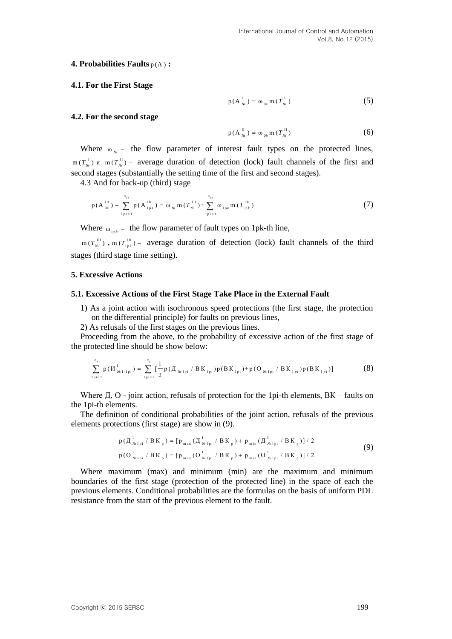### **4. Probabilities Faults**  $p(A)$  :

#### **4.1. For the First Stage**

$$
p(A_{N_{\alpha}}^{I}) = \omega_{N_{\alpha}} m(T_{N_{\alpha}}^{I})
$$
\n(5)

#### **4.2. For the second stage**

$$
p(A_{N_{e}}^{II}) = \omega_{N_{e}} m(T_{N_{e}}^{II})
$$
\n(6)

Where  $\omega_{\mu}$  – the flow parameter of interest fault types on the protected lines,  $m(T_{w}^{I})$  *n*  $m(T_{w}^{II})$  – average duration of detection (lock) fault channels of the first and second stages (substantially the setting time of the first and second stages).

4.3 And for back-up (third) stage

$$
p(A_{\gamma_{e}}^{III}) + \sum_{i_{p}i_{q}}^{n_{1p}} p(A_{i_{p}k}^{III}) = \omega_{\gamma_{e}} m(T_{\gamma_{e}}^{III}) + \sum_{i_{p}i_{q}}^{n_{1p}} \omega_{i_{p}k} m(T_{i_{p}k}^{III})
$$
\n(7)

Where  $\omega_{\mu\nu}$  – the flow parameter of fault types on 1pk-th line,

 $m(T_{\kappa}^{III})$ ,  $m(T_{1}^{III})$  – average duration of detection (lock) fault channels of the third stages (third stage time setting).

#### **5. Excessive Actions**

#### **5.1. Excessive Actions of the First Stage Take Place in the External Fault**

- 1) As a joint action with isochronous speed protections (the first stage, the protection on the differential principle) for faults on previous lines,
- 2) As refusals of the first stages on the previous lines.

Proceeding from the above, to the probability of excessive action of the first stage of the protected line should be show below:<br> $n_p$   $n_p$   $n_{p+1}$ 

According from the above, to the probability of excessive action of the first stage of  
\nrotected line should be show below:

\n
$$
\sum_{i}^{n_p} p(H_{x_{i-1}p_i}^1) = \sum_{i}^{n_p} \left[ \frac{1}{2} p(H_{x_{i-1}p_i} / BK_{1p_i}) p(BK_{1p_i}) + p(O_{x_{i-1}p_i} / BK_{1p_i}) p(BK_{1p_i}) \right]
$$
\n(8)

Where  $\overline{A}$ , O - joint action, refusals of protection for the 1pi-th elements, BK – faults on the 1pi-th elements.

The definition of conditional probabilities of the joint action, refusals of the previous elements protections (first stage) are show in (9).<br> $p(\Pi_{\text{min}}^T / BK_p) = [p_{\text{max}}(\Pi_{\text{min}}^T / BK_p) + p_{\text{min}}(R_{\text{min}}^T / BK_p)]$ 

$$
p(\Pi_{\lambda_{k}1p}^{I} / BK_{p}) = [p_{max}(\Pi_{\lambda_{k}1p}^{I} / BK_{p}) + p_{min}(\Pi_{\lambda_{k}1p}^{I} / BK_{p})] / 2
$$
  
\n
$$
p(O_{\lambda_{k}1p}^{I} / BK_{p}) = [p_{max}(O_{\lambda_{k}1p}^{I} / BK_{p}) + p_{min}(O_{\lambda_{k}1p}^{I} / BK_{p})] / 2
$$
\n(9)

Where maximum (max) and minimum (min) are the maximum and minimum boundaries of the first stage (protection of the protected line) in the space of each the previous elements. Conditional probabilities are the formulas on the basis of uniform PDL resistance from the start of the previous element to the fault.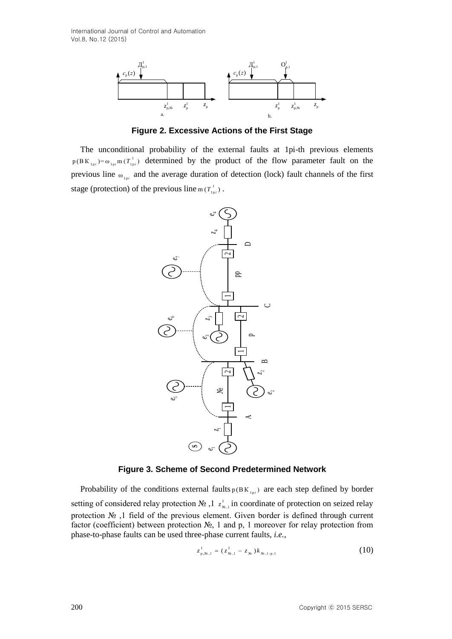

**Figure 2. Excessive Actions of the First Stage**

The unconditional probability of the external faults at 1pi-th previous elements  $p(BK_{1pi}) = \omega_{1pi} m(T_{1pi}^T)$  determined by the product of the flow parameter fault on the previous line  $\omega_{1pi}$  and the average duration of detection (lock) fault channels of the first stage (protection) of the previous line  $m(T_{1pi}^T)$ .



**Figure 3. Scheme of Second Predetermined Network**

Probability of the conditions external faults  $p(B K_{1p})$  are each step defined by border setting of considered relay protection  $\mathcal{N}_2$ ,  $1$   $z_{\kappa}$ <sub>i</sub> in coordinate of protection on seized relay protection № ,1 field of the previous element. Given border is defined through current factor (coefficient) between protection №, 1 and p, 1 moreover for relay protection from phase-to-phase faults can be used three-phase current faults, *i.e.*,

$$
z_{p,\mathcal{N}_{2,1}}^1 = (z_{\mathcal{N}_{2,1}}^1 - z_{\mathcal{N}_{2,2}})k_{\mathcal{N}_{2,1-p,1}} \tag{10}
$$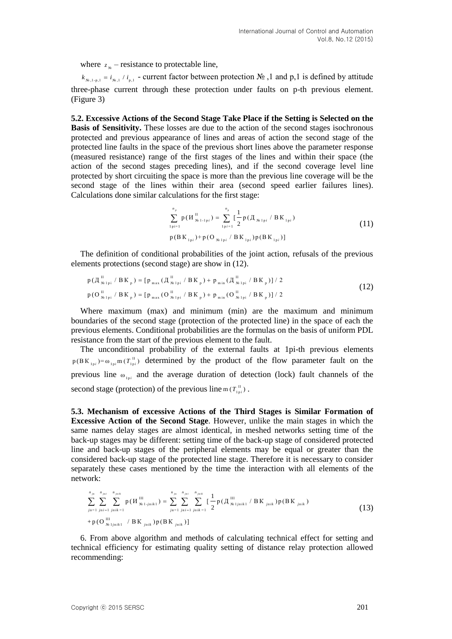where  $z_{\infty}$  – resistance to protectable line,

 $k_{N_{\text{N},1-p,1}} = i_{N_{\text{N},1}} / i_{p,1}$  - current factor between protection  $N_2$ , 1 and p, 1 is defined by attitude three-phase current through these protection under faults on p-th previous element. (Figure 3)

**5.2. Excessive Actions of the Second Stage Take Place if the Setting is Selected on the Basis of Sensitivity.** These losses are due to the action of the second stages isochronous protected and previous appearance of lines and areas of action the second stage of the protected line faults in the space of the previous short lines above the parameter response (measured resistance) range of the first stages of the lines and within their space (the action of the second stages preceding lines), and if the second coverage level line protected by short circuiting the space is more than the previous line coverage will be the second stage of the lines within their area (second speed earlier failures lines). Calculations done similar calculations for the first stage:

$$
\sum_{\substack{\mathbf{1} \mathbf{p} \mathbf{i} = 1}}^{\mathbf{n}_p} p(H_{\mathbf{M}_{\mathbf{B}_{1} - \mathbf{1} \mathbf{p}i}}^{\mathbf{II}}) = \sum_{\substack{\mathbf{1} \mathbf{p}i = 1}}^{\mathbf{n}_p} \left[ \frac{1}{2} p(H_{\mathbf{M}_{\mathbf{B}_{1} \mathbf{p}i}} / B K_{\mathbf{1} \mathbf{p}i}) \right]
$$
\n
$$
p(B K_{\mathbf{1} \mathbf{p}i}) + p(O_{\mathbf{M}_{\mathbf{B}_{1} \mathbf{p}i}} / B K_{\mathbf{1} \mathbf{p}i}) p(B K_{\mathbf{1} \mathbf{p}i})]
$$
\n(11)

The definition of conditional probabilities of the joint action, refusals of the previous

elements projections (second stage) are show in (12).  
\n
$$
p(\Pi_{\text{M+pi}}^{\text{II}} / BK_{p}) = [p_{\text{max}}(\Pi_{\text{M+pi}}^{\text{II}} / BK_{p}) + p_{\text{min}}(\Pi_{\text{M+pi}}^{\text{II}} / BK_{p})]/2
$$
\n
$$
p(O_{\text{M+pi}}^{\text{II}} / BK_{p}) = [p_{\text{max}}(O_{\text{M+pi}}^{\text{II}} / BK_{p}) + p_{\text{min}}(O_{\text{M+pi}}^{\text{II}} / BK_{p})]/2
$$
\n(12)

Where maximum (max) and minimum (min) are the maximum and minimum boundaries of the second stage (protection of the protected line) in the space of each the previous elements. Conditional probabilities are the formulas on the basis of uniform PDL resistance from the start of the previous element to the fault.

The unconditional probability of the external faults at 1pi-th previous elements  $p(BK_{1pi}) = \omega_{1pi} m(T_{1pi}^{II})$  determined by the product of the flow parameter fault on the previous line  $\omega_{1pi}$  and the average duration of detection (lock) fault channels of the second stage (protection) of the previous line  $m(T_{1pi}^{\text{II}})$ .

**5.3. Mechanism of excessive Actions of the Third Stages is Similar Formation of Excessive Action of the Second Stage**. However, unlike the main stages in which the same names delay stages are almost identical, in meshed networks setting time of the back-up stages may be different: setting time of the back-up stage of considered protected line and back-up stages of the peripheral elements may be equal or greater than the considered back-up stage of the protected line stage. Therefore it is necessary to consider separately these cases mentioned by the time the interaction with all elements of the network:

$$
\begin{aligned}\n\text{ork:} \\
\sum_{j_{n}=1}^{n_{jn}} \sum_{j_{ni}=1}^{n_{j_{ni}}} \sum_{j_{ni}\neq 1}^{n_{j_{ni}}} \mathbf{p}(H_{\gamma_{k-1}j_{ni}k1}^{\text{III}}) &= \sum_{j_{n}=1}^{n_{jn}} \sum_{j_{ni}=1}^{n_{j_{ni}}} \sum_{j_{ni}\neq 1}^{n_{j_{ni}}} \left[ \frac{1}{2} \mathbf{p}(H_{\gamma_{k-1}j_{ni}k1}^{\text{III}} \ / \ B \ K_{j_{ni}k}) \mathbf{p}(B \ K_{j_{ni}k}) \right] \\
&+ \mathbf{p}(O_{\gamma_{k-1}j_{ni}k1}^{\text{III}} \ / \ B \ K_{j_{ni}k}) \mathbf{p}(B \ K_{j_{ni}k})\n\end{aligned} \tag{13}
$$

6. From above algorithm and methods of calculating technical effect for setting and technical efficiency for estimating quality setting of distance relay protection allowed recommending: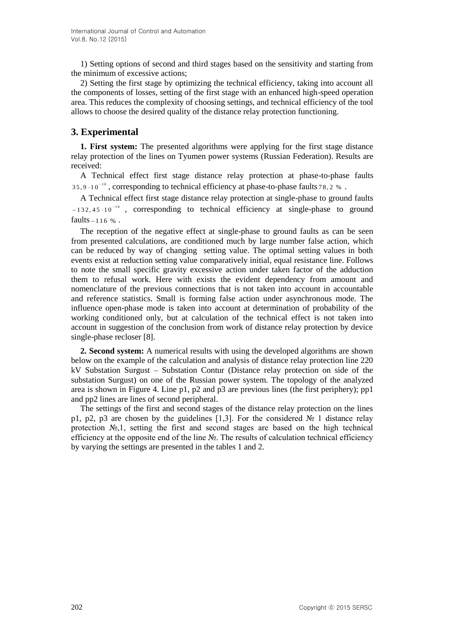1) Setting options of second and third stages based on the sensitivity and starting from the minimum of excessive actions;

2) Setting the first stage by optimizing the technical efficiency, taking into account all the components of losses, setting of the first stage with an enhanced high-speed operation area. This reduces the complexity of choosing settings, and technical efficiency of the tool allows to choose the desired quality of the distance relay protection functioning.

# **3. Experimental**

**1. First system:** The presented algorithms were applying for the first stage distance relay protection of the lines on Tyumen power systems (Russian Federation). Results are received:

A Technical effect first stage distance relay protection at phase-to-phase faults 35, 9  $\cdot$  10<sup>-10</sup>, corresponding to technical efficiency at phase-to-phase faults 78, 2 %.

A Technical effect first stage distance relay protection at single-phase to ground faults  $-132, 45 \cdot 10^{-10}$ , corresponding to technical efficiency at single-phase to ground faults  $-116$  %.

The reception of the negative effect at single-phase to ground faults as can be seen from presented calculations, are conditioned much by large number false action, which can be reduced by way of changing setting value. The optimal setting values in both events exist at reduction setting value comparatively initial, equal resistance line. Follows to note the small specific gravity excessive action under taken factor of the adduction them to refusal work. Here with exists the evident dependency from amount and nomenclature of the previous connections that is not taken into account in accountable and reference statistics. Small is forming false action under asynchronous mode. The influence open-phase mode is taken into account at determination of probability of the working conditioned only, but at calculation of the technical effect is not taken into account in suggestion of the conclusion from work of distance relay protection by device single-phase recloser [8].

**2. Second system:** A numerical results with using the developed algorithms are shown below on the example of the calculation and analysis of distance relay protection line 220 kV Substation Surgust – Substation Contur (Distance relay protection on side of the substation Surgust) on one of the Russian power system. The topology of the analyzed area is shown in Figure 4. Line p1, p2 and p3 are previous lines (the first periphery); pp1 and pp2 lines are lines of second peripheral.

The settings of the first and second stages of the distance relay protection on the lines p1, p2, p3 are chosen by the guidelines [1,3]. For the considered № 1 distance relay protection  $N_2, 1$ , setting the first and second stages are based on the high technical efficiency at the opposite end of the line №. The results of calculation technical efficiency by varying the settings are presented in the tables 1 and 2.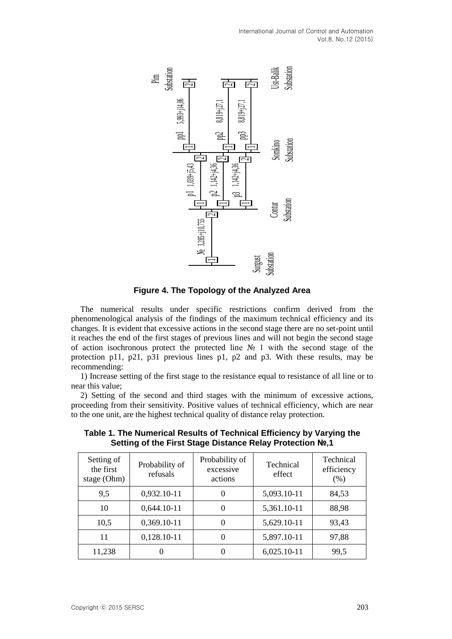

**Figure 4. The Topology of the Analyzed Area**

The numerical results under specific restrictions confirm derived from the phenomenological analysis of the findings of the maximum technical efficiency and its changes. It is evident that excessive actions in the second stage there are no set-point until it reaches the end of the first stages of previous lines and will not begin the second stage of action isochronous protect the protected line № 1 with the second stage of the protection p11, p21, p31 previous lines p1, p2 and p3. With these results, may be recommending:

1) Increase setting of the first stage to the resistance equal to resistance of all line or to near this value;

2) Setting of the second and third stages with the minimum of excessive actions, proceeding from their sensitivity. Positive values of technical efficiency, which are near to the one unit, are the highest technical quality of distance relay protection.

| Setting of<br>the first<br>stage (Ohm) | Probability of<br>refusals | Probability of<br>excessive<br>actions | Technical<br>effect | Technical<br>efficiency<br>(% ) |
|----------------------------------------|----------------------------|----------------------------------------|---------------------|---------------------------------|
| 9,5                                    | 0,932.10-11                |                                        | 5,093.10-11         | 84,53                           |
| 10                                     | $0,644.10 - 11$            |                                        | 5,361.10-11         | 88,98                           |
| 10,5                                   | 0,369.10-11                |                                        | 5,629.10-11         | 93,43                           |
| 11                                     | 0,128.10-11                | 0                                      | 5,897.10-11         | 97,88                           |
| 11,238                                 |                            |                                        | 6,025.10-11         | 99,5                            |

**Table 1. The Numerical Results of Technical Efficiency by Varying the Setting of the First Stage Distance Relay Protection №,1**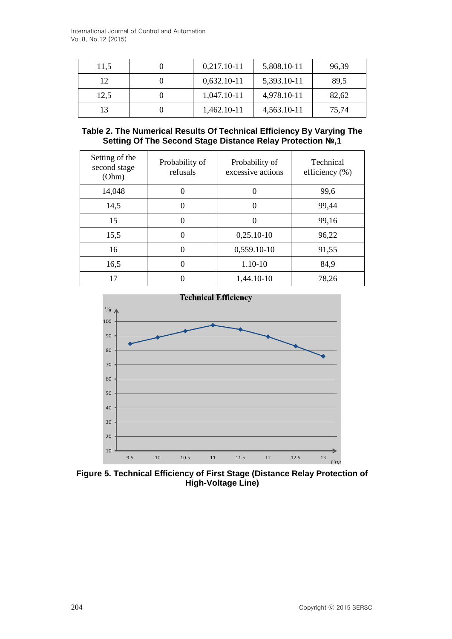| 11,5 | 0,217.10-11   | 5,808.10-11 | 96,39 |
|------|---------------|-------------|-------|
| 12   | $0,632.10-11$ | 5,393.10-11 | 89,5  |
| 12,5 | 1,047.10-11   | 4,978.10-11 | 82,62 |
| 13   | 1,462.10-11   | 4,563.10-11 | 75,74 |

## **Table 2. The Numerical Results Of Technical Efficiency By Varying The Setting Of The Second Stage Distance Relay Protection №,1**

| Setting of the<br>second stage<br>(Ohm) | Probability of<br>refusals | Probability of<br>excessive actions | <b>Technical</b><br>efficiency $(\%)$ |
|-----------------------------------------|----------------------------|-------------------------------------|---------------------------------------|
| 14,048                                  |                            |                                     | 99,6                                  |
| 14,5                                    |                            | $\theta$                            | 99,44                                 |
| 15                                      |                            | $\theta$                            | 99,16                                 |
| 15,5                                    |                            | $0,25.10-10$                        | 96,22                                 |
| 16                                      |                            | 0,559.10-10                         | 91,55                                 |
| 16,5                                    |                            | 1.10-10                             | 84,9                                  |
|                                         |                            | 1,44.10-10                          | 78,26                                 |



**Figure 5. Technical Efficiency of First Stage (Distance Relay Protection of High-Voltage Line)**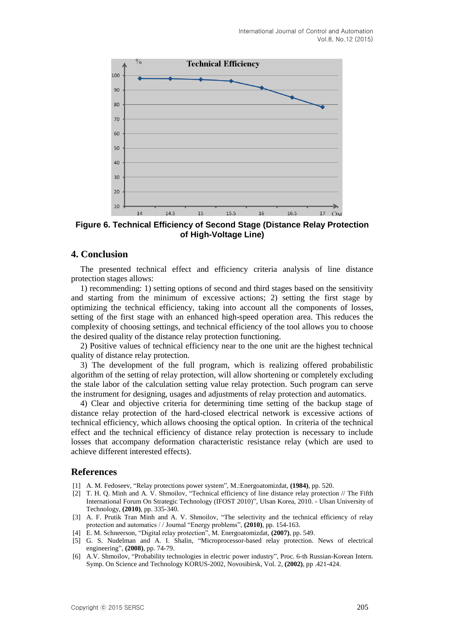

**Figure 6. Technical Efficiency of Second Stage (Distance Relay Protection of High-Voltage Line)**

## **4. Conclusion**

The presented technical effect and efficiency criteria analysis of line distance protection stages allows:

1) recommending: 1) setting options of second and third stages based on the sensitivity and starting from the minimum of excessive actions; 2) setting the first stage by optimizing the technical efficiency, taking into account all the components of losses, setting of the first stage with an enhanced high-speed operation area. This reduces the complexity of choosing settings, and technical efficiency of the tool allows you to choose the desired quality of the distance relay protection functioning.

2) Positive values of technical efficiency near to the one unit are the highest technical quality of distance relay protection.

3) The development of the full program, which is realizing offered probabilistic algorithm of the setting of relay protection, will allow shortening or completely excluding the stale labor of the calculation setting value relay protection. Such program can serve the instrument for designing, usages and adjustments of relay protection and automatics.

4) Clear and objective criteria for determining time setting of the backup stage of distance relay protection of the hard-closed electrical network is excessive actions of technical efficiency, which allows choosing the optical option. In criteria of the technical effect and the technical efficiency of distance relay protection is necessary to include losses that accompany deformation characteristic resistance relay (which are used to achieve different interested effects).

## **References**

- [1] A. M. Fedoseev, "Relay protections power system", M.:Energoatomizdat, **(1984)**, pp. 520.
- [2] T. H. Q. Minh and A. V. Shmoilov, "Technical efficiency of line distance relay protection // The Fifth International Forum On Strategic Technology (IFOST 2010)", Ulsan Korea, 2010. - Ulsan University of Technology, **(2010)**, pp. 335-340.
- [3] A. F. Prutik Tran Minh and A. V. Shmoilov, "The selectivity and the technical efficiency of relay protection and automatics / / Journal "Energy problems", **(2010)**, pp. 154-163.
- [4] E. M. Schneerson, "Digital relay protection", M. Energoatomizdat, **(2007)**, pp. 549.
- [5] G. S. Nudelman and A. I. Shalin, "Microprocessor-based relay protection. News of electrical engineering", **(2008)**, pp. 74-79.
- [6] A.V. Shmoilov, "Probability technologies in electric power industry", Proc. 6-th Russian-Korean Intern. Symp. On Science and Technology KORUS-2002, Novosibirsk, Vol. 2, **(2002)**, pp .421-424.